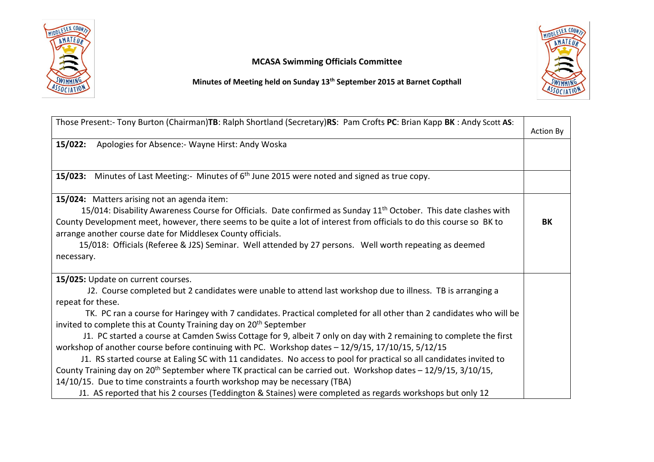

## MCASA Swimming Officials Committee



Minutes of Meeting held on Sunday 13th September 2015 at Barnet Copthall

| Those Present:- Tony Burton (Chairman)TB: Ralph Shortland (Secretary)RS: Pam Crofts PC: Brian Kapp BK: Andy Scott AS:        |                  |
|------------------------------------------------------------------------------------------------------------------------------|------------------|
|                                                                                                                              | <b>Action By</b> |
| Apologies for Absence:- Wayne Hirst: Andy Woska<br>15/022:                                                                   |                  |
|                                                                                                                              |                  |
| 15/023: Minutes of Last Meeting:- Minutes of 6 <sup>th</sup> June 2015 were noted and signed as true copy.                   |                  |
| 15/024: Matters arising not an agenda item:                                                                                  |                  |
| 15/014: Disability Awareness Course for Officials. Date confirmed as Sunday 11 <sup>th</sup> October. This date clashes with |                  |
| County Development meet, however, there seems to be quite a lot of interest from officials to do this course so BK to        | BK               |
| arrange another course date for Middlesex County officials.                                                                  |                  |
| 15/018: Officials (Referee & J2S) Seminar. Well attended by 27 persons. Well worth repeating as deemed                       |                  |
| necessary.                                                                                                                   |                  |
|                                                                                                                              |                  |
| 15/025: Update on current courses.                                                                                           |                  |
| J2. Course completed but 2 candidates were unable to attend last workshop due to illness. TB is arranging a                  |                  |
| repeat for these.                                                                                                            |                  |
| TK. PC ran a course for Haringey with 7 candidates. Practical completed for all other than 2 candidates who will be          |                  |
| invited to complete this at County Training day on 20 <sup>th</sup> September                                                |                  |
| J1. PC started a course at Camden Swiss Cottage for 9, albeit 7 only on day with 2 remaining to complete the first           |                  |
| workshop of another course before continuing with PC. Workshop dates - 12/9/15, 17/10/15, 5/12/15                            |                  |
| J1. RS started course at Ealing SC with 11 candidates. No access to pool for practical so all candidates invited to          |                  |
| County Training day on 20 <sup>th</sup> September where TK practical can be carried out. Workshop dates - 12/9/15, 3/10/15,  |                  |
| 14/10/15. Due to time constraints a fourth workshop may be necessary (TBA)                                                   |                  |
| J1. AS reported that his 2 courses (Teddington & Staines) were completed as regards workshops but only 12                    |                  |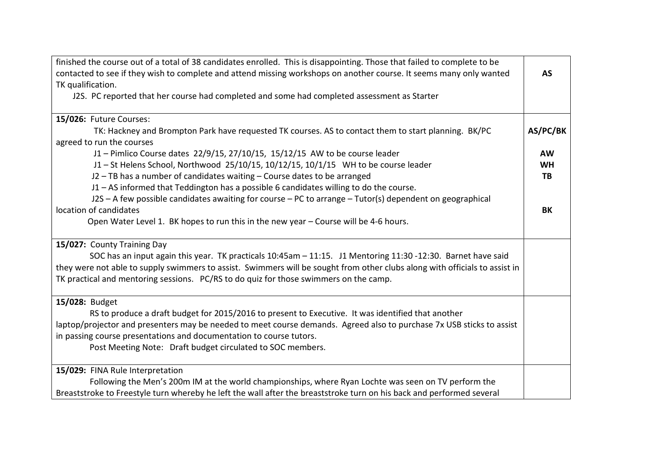| finished the course out of a total of 38 candidates enrolled. This is disappointing. Those that failed to complete to be    |           |
|-----------------------------------------------------------------------------------------------------------------------------|-----------|
| contacted to see if they wish to complete and attend missing workshops on another course. It seems many only wanted         | <b>AS</b> |
| TK qualification.                                                                                                           |           |
| J2S. PC reported that her course had completed and some had completed assessment as Starter                                 |           |
| 15/026: Future Courses:                                                                                                     |           |
| TK: Hackney and Brompton Park have requested TK courses. AS to contact them to start planning. BK/PC                        | AS/PC/BK  |
| agreed to run the courses                                                                                                   |           |
| J1 - Pimlico Course dates 22/9/15, 27/10/15, 15/12/15 AW to be course leader                                                | <b>AW</b> |
| J1-St Helens School, Northwood 25/10/15, 10/12/15, 10/1/15 WH to be course leader                                           | <b>WH</b> |
| J2 - TB has a number of candidates waiting - Course dates to be arranged                                                    | TB        |
| J1 - AS informed that Teddington has a possible 6 candidates willing to do the course.                                      |           |
| J2S - A few possible candidates awaiting for course - PC to arrange - Tutor(s) dependent on geographical                    |           |
| location of candidates                                                                                                      | BK        |
| Open Water Level 1. BK hopes to run this in the new year - Course will be 4-6 hours.                                        |           |
|                                                                                                                             |           |
| 15/027: County Training Day                                                                                                 |           |
| SOC has an input again this year. TK practicals 10:45am - 11:15. J1 Mentoring 11:30 -12:30. Barnet have said                |           |
| they were not able to supply swimmers to assist. Swimmers will be sought from other clubs along with officials to assist in |           |
| TK practical and mentoring sessions. PC/RS to do quiz for those swimmers on the camp.                                       |           |
|                                                                                                                             |           |
| 15/028: Budget                                                                                                              |           |
| RS to produce a draft budget for 2015/2016 to present to Executive. It was identified that another                          |           |
| laptop/projector and presenters may be needed to meet course demands. Agreed also to purchase 7x USB sticks to assist       |           |
| in passing course presentations and documentation to course tutors.                                                         |           |
| Post Meeting Note: Draft budget circulated to SOC members.                                                                  |           |
| 15/029: FINA Rule Interpretation                                                                                            |           |
| Following the Men's 200m IM at the world championships, where Ryan Lochte was seen on TV perform the                        |           |
| Breaststroke to Freestyle turn whereby he left the wall after the breaststroke turn on his back and performed several       |           |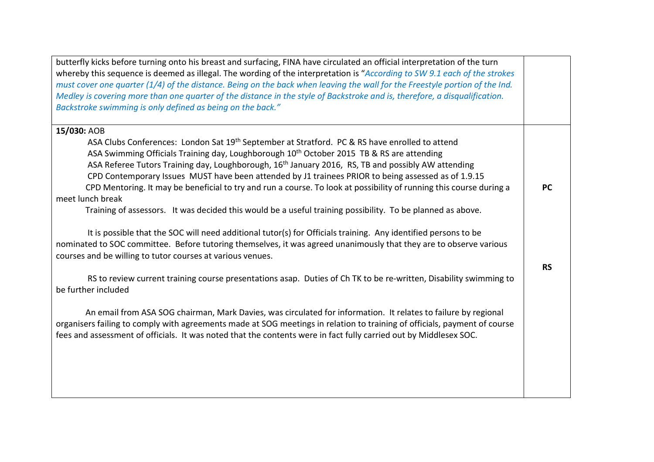| butterfly kicks before turning onto his breast and surfacing, FINA have circulated an official interpretation of the turn<br>whereby this sequence is deemed as illegal. The wording of the interpretation is "According to SW 9.1 each of the strokes<br>must cover one quarter (1/4) of the distance. Being on the back when leaving the wall for the Freestyle portion of the Ind.<br>Medley is covering more than one quarter of the distance in the style of Backstroke and is, therefore, a disqualification.<br>Backstroke swimming is only defined as being on the back." |           |
|-----------------------------------------------------------------------------------------------------------------------------------------------------------------------------------------------------------------------------------------------------------------------------------------------------------------------------------------------------------------------------------------------------------------------------------------------------------------------------------------------------------------------------------------------------------------------------------|-----------|
| 15/030: AOB                                                                                                                                                                                                                                                                                                                                                                                                                                                                                                                                                                       |           |
| ASA Clubs Conferences: London Sat 19 <sup>th</sup> September at Stratford. PC & RS have enrolled to attend                                                                                                                                                                                                                                                                                                                                                                                                                                                                        |           |
| ASA Swimming Officials Training day, Loughborough 10 <sup>th</sup> October 2015 TB & RS are attending                                                                                                                                                                                                                                                                                                                                                                                                                                                                             |           |
| ASA Referee Tutors Training day, Loughborough, 16 <sup>th</sup> January 2016, RS, TB and possibly AW attending                                                                                                                                                                                                                                                                                                                                                                                                                                                                    |           |
| CPD Contemporary Issues MUST have been attended by J1 trainees PRIOR to being assessed as of 1.9.15                                                                                                                                                                                                                                                                                                                                                                                                                                                                               |           |
| CPD Mentoring. It may be beneficial to try and run a course. To look at possibility of running this course during a                                                                                                                                                                                                                                                                                                                                                                                                                                                               | <b>PC</b> |
| meet lunch break                                                                                                                                                                                                                                                                                                                                                                                                                                                                                                                                                                  |           |
| Training of assessors. It was decided this would be a useful training possibility. To be planned as above.                                                                                                                                                                                                                                                                                                                                                                                                                                                                        |           |
|                                                                                                                                                                                                                                                                                                                                                                                                                                                                                                                                                                                   |           |
| It is possible that the SOC will need additional tutor(s) for Officials training. Any identified persons to be                                                                                                                                                                                                                                                                                                                                                                                                                                                                    |           |
| nominated to SOC committee. Before tutoring themselves, it was agreed unanimously that they are to observe various                                                                                                                                                                                                                                                                                                                                                                                                                                                                |           |
| courses and be willing to tutor courses at various venues.                                                                                                                                                                                                                                                                                                                                                                                                                                                                                                                        |           |
|                                                                                                                                                                                                                                                                                                                                                                                                                                                                                                                                                                                   | <b>RS</b> |
| RS to review current training course presentations asap. Duties of Ch TK to be re-written, Disability swimming to                                                                                                                                                                                                                                                                                                                                                                                                                                                                 |           |
| be further included                                                                                                                                                                                                                                                                                                                                                                                                                                                                                                                                                               |           |
|                                                                                                                                                                                                                                                                                                                                                                                                                                                                                                                                                                                   |           |
| An email from ASA SOG chairman, Mark Davies, was circulated for information. It relates to failure by regional                                                                                                                                                                                                                                                                                                                                                                                                                                                                    |           |
| organisers failing to comply with agreements made at SOG meetings in relation to training of officials, payment of course                                                                                                                                                                                                                                                                                                                                                                                                                                                         |           |
| fees and assessment of officials. It was noted that the contents were in fact fully carried out by Middlesex SOC.                                                                                                                                                                                                                                                                                                                                                                                                                                                                 |           |
|                                                                                                                                                                                                                                                                                                                                                                                                                                                                                                                                                                                   |           |
|                                                                                                                                                                                                                                                                                                                                                                                                                                                                                                                                                                                   |           |
|                                                                                                                                                                                                                                                                                                                                                                                                                                                                                                                                                                                   |           |
|                                                                                                                                                                                                                                                                                                                                                                                                                                                                                                                                                                                   |           |
|                                                                                                                                                                                                                                                                                                                                                                                                                                                                                                                                                                                   |           |